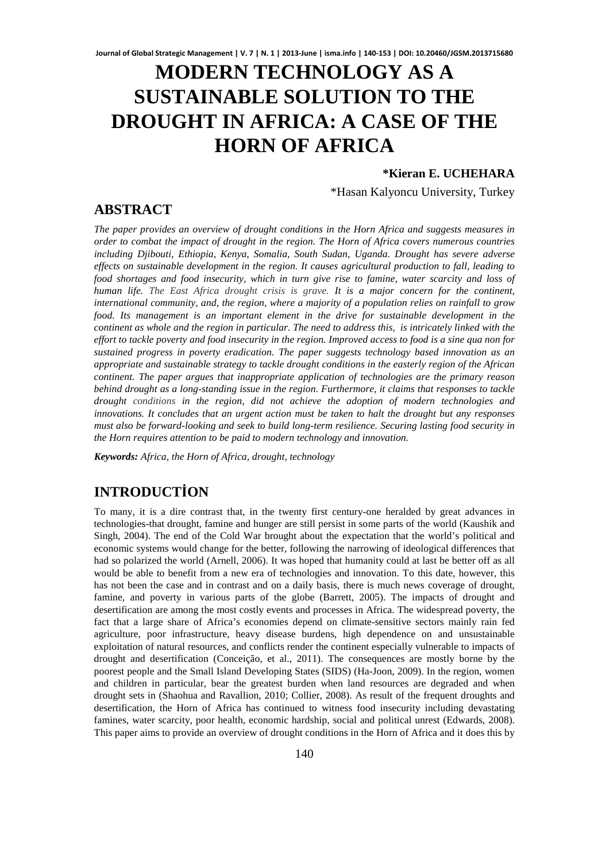# **MODERN TECHNOLOGY AS A SUSTAINABLE SOLUTION TO THE DROUGHT IN AFRICA: A CASE OF THE HORN OF AFRICA**

#### **\*Kieran E. UCHEHARA**

\*Hasan Kalyoncu University, Turkey

## **ABSTRACT**

*The paper provides an overview of drought conditions in the Horn Africa and suggests measures in order to combat the impact of drought in the region. The Horn of Africa covers numerous countries including Djibouti, Ethiopia, Kenya, Somalia, South Sudan, Uganda. Drought has severe adverse effects on sustainable development in the region. It causes agricultural production to fall, leading to food shortages and food insecurity, which in turn give rise to famine, water scarcity and loss of human life. The East Africa drought crisis is grave. It is a major concern for the continent, international community, and, the region, where a majority of a population relies on rainfall to grow*  food. Its management is an important element in the drive for sustainable development in the *continent as whole and the region in particular. The need to address this, is intricately linked with the effort to tackle poverty and food insecurity in the region. Improved access to food is a sine qua non for sustained progress in poverty eradication. The paper suggests technology based innovation as an appropriate and sustainable strategy to tackle drought conditions in the easterly region of the African continent. The paper argues that inappropriate application of technologies are the primary reason behind drought as a long-standing issue in the region. Furthermore, it claims that responses to tackle drought conditions in the region, did not achieve the adoption of modern technologies and innovations. It concludes that an urgent action must be taken to halt the drought but any responses must also be forward-looking and seek to build long-term resilience. Securing lasting food security in the Horn requires attention to be paid to modern technology and innovation.* 

*Keywords: Africa, the Horn of Africa, drought, technology* 

# **INTRODUCTİON**

To many, it is a dire contrast that, in the twenty first century-one heralded by great advances in technologies-that drought, famine and hunger are still persist in some parts of the world (Kaushik and Singh, 2004). The end of the Cold War brought about the expectation that the world's political and economic systems would change for the better, following the narrowing of ideological differences that had so polarized the world (Arnell, 2006). It was hoped that humanity could at last be better off as all would be able to benefit from a new era of technologies and innovation. To this date, however, this has not been the case and in contrast and on a daily basis, there is much news coverage of drought, famine, and poverty in various parts of the globe (Barrett, 2005). The impacts of drought and desertification are among the most costly events and processes in Africa. The widespread poverty, the fact that a large share of Africa's economies depend on climate-sensitive sectors mainly rain fed agriculture, poor infrastructure, heavy disease burdens, high dependence on and unsustainable exploitation of natural resources, and conflicts render the continent especially vulnerable to impacts of drought and desertification (Conceição, et al., 2011). The consequences are mostly borne by the poorest people and the Small Island Developing States (SIDS) (Ha-Joon, 2009). In the region, women and children in particular, bear the greatest burden when land resources are degraded and when drought sets in (Shaohua and Ravallion, 2010; Collier, 2008). As result of the frequent droughts and desertification, the Horn of Africa has continued to witness food insecurity including devastating famines, water scarcity, poor health, economic hardship, social and political unrest (Edwards, 2008). This paper aims to provide an overview of drought conditions in the Horn of Africa and it does this by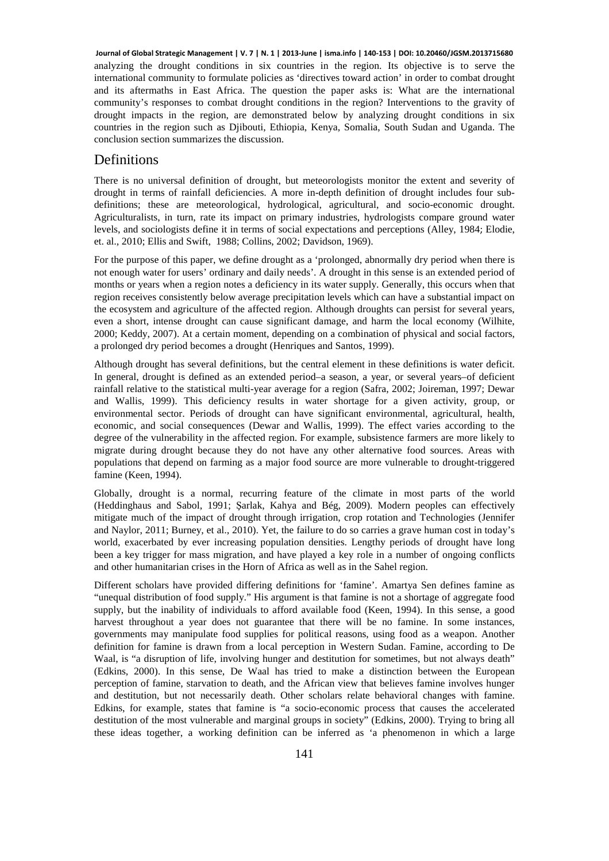analyzing the drought conditions in six countries in the region. Its objective is to serve the international community to formulate policies as 'directives toward action' in order to combat drought and its aftermaths in East Africa. The question the paper asks is: What are the international community's responses to combat drought conditions in the region? Interventions to the gravity of drought impacts in the region, are demonstrated below by analyzing drought conditions in six countries in the region such as Djibouti, Ethiopia, Kenya, Somalia, South Sudan and Uganda. The conclusion section summarizes the discussion. **Journal of Global Strategic Management | V. 7 | N. 1 | 2013-June | isma.info | 140-153 | DOI: 10.20460/JGSM.2013715680**

#### **Definitions**

There is no universal definition of drought, but meteorologists monitor the extent and severity of drought in terms of rainfall deficiencies. A more in-depth definition of drought includes four subdefinitions; these are meteorological, hydrological, agricultural, and socio-economic drought. Agriculturalists, in turn, rate its impact on primary industries, hydrologists compare ground water levels, and sociologists define it in terms of social expectations and perceptions (Alley, 1984; Elodie, et. al., 2010; Ellis and Swift, 1988; Collins, 2002; Davidson, 1969).

For the purpose of this paper, we define drought as a 'prolonged, abnormally dry period when there is not enough water for users' ordinary and daily needs'. A drought in this sense is an extended period of months or years when a region notes a deficiency in its water supply. Generally, this occurs when that region receives consistently below average precipitation levels which can have a substantial impact on the ecosystem and agriculture of the affected region. Although droughts can persist for several years, even a short, intense drought can cause significant damage, and harm the local economy (Wilhite, 2000; Keddy, 2007). At a certain moment, depending on a combination of physical and social factors, a prolonged dry period becomes a drought (Henriques and Santos, 1999).

Although drought has several definitions, but the central element in these definitions is water deficit. In general, drought is defined as an extended period–a season, a year, or several years–of deficient rainfall relative to the statistical multi-year average for a region (Safra, 2002; Joireman, 1997; Dewar and Wallis, 1999). This deficiency results in water shortage for a given activity, group, or environmental sector. Periods of drought can have significant environmental, agricultural, health, economic, and social consequences (Dewar and Wallis, 1999). The effect varies according to the degree of the vulnerability in the affected region. For example, subsistence farmers are more likely to migrate during drought because they do not have any other alternative food sources. Areas with populations that depend on farming as a major food source are more vulnerable to drought-triggered famine (Keen, 1994).

Globally, drought is a normal, recurring feature of the climate in most parts of the world (Heddinghaus and Sabol, 1991; Şarlak, Kahya and Bég, 2009). Modern peoples can effectively mitigate much of the impact of drought through irrigation, crop rotation and Technologies (Jennifer and Naylor, 2011; Burney, et al., 2010). Yet, the failure to do so carries a grave human cost in today's world, exacerbated by ever increasing population densities. Lengthy periods of drought have long been a key trigger for mass migration, and have played a key role in a number of ongoing conflicts and other humanitarian crises in the Horn of Africa as well as in the Sahel region.

Different scholars have provided differing definitions for 'famine'. Amartya Sen defines famine as "unequal distribution of food supply." His argument is that famine is not a shortage of aggregate food supply, but the inability of individuals to afford available food (Keen, 1994). In this sense, a good harvest throughout a year does not guarantee that there will be no famine. In some instances, governments may manipulate food supplies for political reasons, using food as a weapon. Another definition for famine is drawn from a local perception in Western Sudan. Famine, according to De Waal, is "a disruption of life, involving hunger and destitution for sometimes, but not always death" (Edkins, 2000). In this sense, De Waal has tried to make a distinction between the European perception of famine, starvation to death, and the African view that believes famine involves hunger and destitution, but not necessarily death. Other scholars relate behavioral changes with famine. Edkins, for example, states that famine is "a socio-economic process that causes the accelerated destitution of the most vulnerable and marginal groups in society" (Edkins, 2000). Trying to bring all these ideas together, a working definition can be inferred as 'a phenomenon in which a large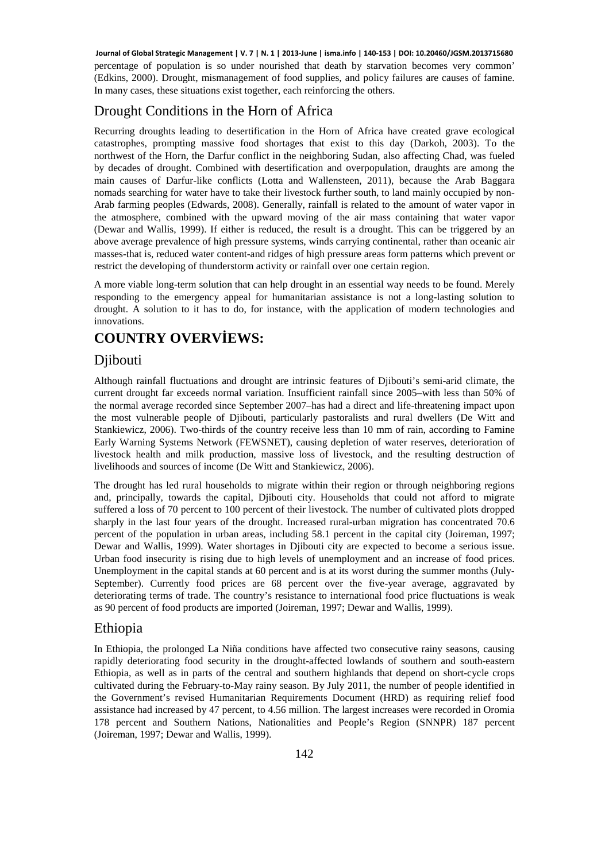percentage of population is so under nourished that death by starvation becomes very common' (Edkins, 2000). Drought, mismanagement of food supplies, and policy failures are causes of famine. In many cases, these situations exist together, each reinforcing the others. **Journal of Global Strategic Management | V. 7 | N. 1 | 2013-June | isma.info | 140-153 | DOI: 10.20460/JGSM.2013715680**

## Drought Conditions in the Horn of Africa

Recurring droughts leading to desertification in the Horn of Africa have created grave ecological catastrophes, prompting massive food shortages that exist to this day (Darkoh, 2003). To the northwest of the Horn, the Darfur conflict in the neighboring Sudan, also affecting Chad, was fueled by decades of drought. Combined with desertification and overpopulation, draughts are among the main causes of Darfur-like conflicts (Lotta and Wallensteen, 2011), because the Arab Baggara nomads searching for water have to take their livestock further south, to land mainly occupied by non-Arab farming peoples (Edwards, 2008). Generally, rainfall is related to the amount of water vapor in the atmosphere, combined with the upward moving of the air mass containing that water vapor (Dewar and Wallis, 1999). If either is reduced, the result is a drought. This can be triggered by an above average prevalence of high pressure systems, winds carrying continental, rather than oceanic air masses-that is, reduced water content-and ridges of high pressure areas form patterns which prevent or restrict the developing of thunderstorm activity or rainfall over one certain region.

A more viable long-term solution that can help drought in an essential way needs to be found. Merely responding to the emergency appeal for humanitarian assistance is not a long-lasting solution to drought. A solution to it has to do, for instance, with the application of modern technologies and innovations.

# **COUNTRY OVERVİEWS:**

#### Djibouti

Although rainfall fluctuations and drought are intrinsic features of Djibouti's semi-arid climate, the current drought far exceeds normal variation. Insufficient rainfall since 2005–with less than 50% of the normal average recorded since September 2007–has had a direct and life-threatening impact upon the most vulnerable people of Djibouti, particularly pastoralists and rural dwellers (De Witt and Stankiewicz, 2006). Two-thirds of the country receive less than 10 mm of rain, according to Famine Early Warning Systems Network (FEWSNET), causing depletion of water reserves, deterioration of livestock health and milk production, massive loss of livestock, and the resulting destruction of livelihoods and sources of income (De Witt and Stankiewicz, 2006).

The drought has led rural households to migrate within their region or through neighboring regions and, principally, towards the capital, Djibouti city. Households that could not afford to migrate suffered a loss of 70 percent to 100 percent of their livestock. The number of cultivated plots dropped sharply in the last four years of the drought. Increased rural-urban migration has concentrated 70.6 percent of the population in urban areas, including 58.1 percent in the capital city (Joireman, 1997; Dewar and Wallis, 1999). Water shortages in Djibouti city are expected to become a serious issue. Urban food insecurity is rising due to high levels of unemployment and an increase of food prices. Unemployment in the capital stands at 60 percent and is at its worst during the summer months (July-September). Currently food prices are 68 percent over the five-year average, aggravated by deteriorating terms of trade. The country's resistance to international food price fluctuations is weak as 90 percent of food products are imported (Joireman, 1997; Dewar and Wallis, 1999).

## Ethiopia

In Ethiopia, the prolonged La Niña conditions have affected two consecutive rainy seasons, causing rapidly deteriorating food security in the drought-affected lowlands of southern and south-eastern Ethiopia, as well as in parts of the central and southern highlands that depend on short-cycle crops cultivated during the February-to-May rainy season. By July 2011, the number of people identified in the Government's revised Humanitarian Requirements Document (HRD) as requiring relief food assistance had increased by 47 percent, to 4.56 million. The largest increases were recorded in Oromia 178 percent and Southern Nations, Nationalities and People's Region (SNNPR) 187 percent (Joireman, 1997; Dewar and Wallis, 1999).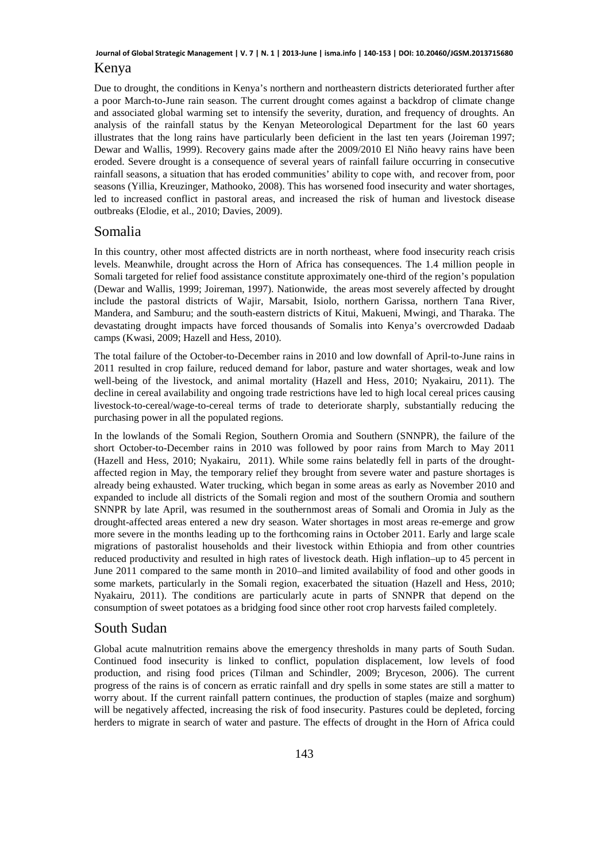#### Kenya **Journal of Global Strategic Management | V. 7 | N. 1 | 2013-June | isma.info | 140-153 | DOI: 10.20460/JGSM.2013715680**

Due to drought, the conditions in Kenya's northern and northeastern districts deteriorated further after a poor March-to-June rain season. The current drought comes against a backdrop of climate change and associated global warming set to intensify the severity, duration, and frequency of droughts. An analysis of the rainfall status by the Kenyan Meteorological Department for the last 60 years illustrates that the long rains have particularly been deficient in the last ten years (Joireman 1997; Dewar and Wallis, 1999). Recovery gains made after the 2009/2010 El Niño heavy rains have been eroded. Severe drought is a consequence of several years of rainfall failure occurring in consecutive rainfall seasons, a situation that has eroded communities' ability to cope with, and recover from, poor seasons (Yillia, Kreuzinger, Mathooko, 2008). This has worsened food insecurity and water shortages, led to increased conflict in pastoral areas, and increased the risk of human and livestock disease outbreaks (Elodie, et al., 2010; Davies, 2009).

#### Somalia

In this country, other most affected districts are in north northeast, where food insecurity reach crisis levels. Meanwhile, drought across the Horn of Africa has consequences. The 1.4 million people in Somali targeted for relief food assistance constitute approximately one-third of the region's population (Dewar and Wallis, 1999; Joireman, 1997). Nationwide, the areas most severely affected by drought include the pastoral districts of Wajir, Marsabit, Isiolo, northern Garissa, northern Tana River, Mandera, and Samburu; and the south-eastern districts of Kitui, Makueni, Mwingi, and Tharaka. The devastating drought impacts have forced thousands of Somalis into Kenya's overcrowded Dadaab camps (Kwasi, 2009; Hazell and Hess, 2010).

The total failure of the October-to-December rains in 2010 and low downfall of April-to-June rains in 2011 resulted in crop failure, reduced demand for labor, pasture and water shortages, weak and low well-being of the livestock, and animal mortality (Hazell and Hess, 2010; Nyakairu, 2011). The decline in cereal availability and ongoing trade restrictions have led to high local cereal prices causing livestock-to-cereal/wage-to-cereal terms of trade to deteriorate sharply, substantially reducing the purchasing power in all the populated regions.

In the lowlands of the Somali Region, Southern Oromia and Southern (SNNPR), the failure of the short October-to-December rains in 2010 was followed by poor rains from March to May 2011 (Hazell and Hess, 2010; Nyakairu, 2011). While some rains belatedly fell in parts of the droughtaffected region in May, the temporary relief they brought from severe water and pasture shortages is already being exhausted. Water trucking, which began in some areas as early as November 2010 and expanded to include all districts of the Somali region and most of the southern Oromia and southern SNNPR by late April, was resumed in the southernmost areas of Somali and Oromia in July as the drought-affected areas entered a new dry season. Water shortages in most areas re-emerge and grow more severe in the months leading up to the forthcoming rains in October 2011. Early and large scale migrations of pastoralist households and their livestock within Ethiopia and from other countries reduced productivity and resulted in high rates of livestock death. High inflation–up to 45 percent in June 2011 compared to the same month in 2010–and limited availability of food and other goods in some markets, particularly in the Somali region, exacerbated the situation (Hazell and Hess, 2010; Nyakairu, 2011). The conditions are particularly acute in parts of SNNPR that depend on the consumption of sweet potatoes as a bridging food since other root crop harvests failed completely.

#### South Sudan

Global acute malnutrition remains above the emergency thresholds in many parts of South Sudan. Continued food insecurity is linked to conflict, population displacement, low levels of food production, and rising food prices (Tilman and Schindler, 2009; Bryceson, 2006). The current progress of the rains is of concern as erratic rainfall and dry spells in some states are still a matter to worry about. If the current rainfall pattern continues, the production of staples (maize and sorghum) will be negatively affected, increasing the risk of food insecurity. Pastures could be depleted, forcing herders to migrate in search of water and pasture. The effects of drought in the Horn of Africa could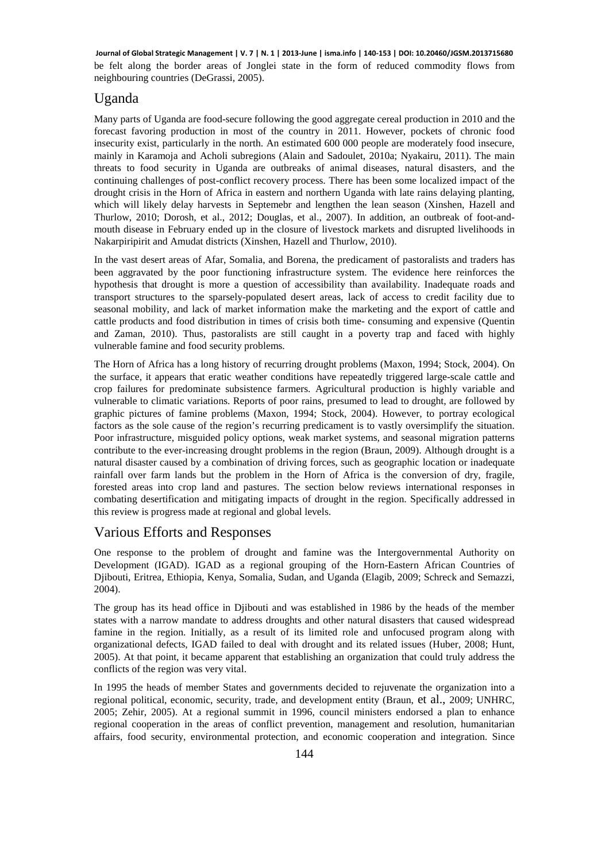be felt along the border areas of Jonglei state in the form of reduced commodity flows from neighbouring countries (DeGrassi, 2005). **Journal of Global Strategic Management | V. 7 | N. 1 | 2013-June | isma.info | 140-153 | DOI: 10.20460/JGSM.2013715680**

#### Uganda

Many parts of Uganda are food-secure following the good aggregate cereal production in 2010 and the forecast favoring production in most of the country in 2011. However, pockets of chronic food insecurity exist, particularly in the north. An estimated 600 000 people are moderately food insecure, mainly in Karamoja and Acholi subregions (Alain and Sadoulet, 2010a; Nyakairu, 2011). The main threats to food security in Uganda are outbreaks of animal diseases, natural disasters, and the continuing challenges of post-conflict recovery process. There has been some localized impact of the drought crisis in the Horn of Africa in eastern and northern Uganda with late rains delaying planting, which will likely delay harvests in Septemebr and lengthen the lean season (Xinshen, Hazell and Thurlow, 2010; Dorosh, et al., 2012; Douglas, et al., 2007). In addition, an outbreak of foot-andmouth disease in February ended up in the closure of livestock markets and disrupted livelihoods in Nakarpiripirit and Amudat districts (Xinshen, Hazell and Thurlow, 2010).

In the vast desert areas of Afar, Somalia, and Borena, the predicament of pastoralists and traders has been aggravated by the poor functioning infrastructure system. The evidence here reinforces the hypothesis that drought is more a question of accessibility than availability. Inadequate roads and transport structures to the sparsely-populated desert areas, lack of access to credit facility due to seasonal mobility, and lack of market information make the marketing and the export of cattle and cattle products and food distribution in times of crisis both time- consuming and expensive (Quentin and Zaman, 2010). Thus, pastoralists are still caught in a poverty trap and faced with highly vulnerable famine and food security problems.

The Horn of Africa has a long history of recurring drought problems (Maxon, 1994; Stock, 2004). On the surface, it appears that eratic weather conditions have repeatedly triggered large-scale cattle and crop failures for predominate subsistence farmers. Agricultural production is highly variable and vulnerable to climatic variations. Reports of poor rains, presumed to lead to drought, are followed by graphic pictures of famine problems (Maxon, 1994; Stock, 2004). However, to portray ecological factors as the sole cause of the region's recurring predicament is to vastly oversimplify the situation. Poor infrastructure, misguided policy options, weak market systems, and seasonal migration patterns contribute to the ever-increasing drought problems in the region (Braun, 2009). Although drought is a natural disaster caused by a combination of driving forces, such as geographic location or inadequate rainfall over farm lands but the problem in the Horn of Africa is the conversion of dry, fragile, forested areas into crop land and pastures. The section below reviews international responses in combating desertification and mitigating impacts of drought in the region. Specifically addressed in this review is progress made at regional and global levels.

#### Various Efforts and Responses

One response to the problem of drought and famine was the Intergovernmental Authority on Development (IGAD). IGAD as a regional grouping of the Horn-Eastern African Countries of Djibouti, Eritrea, Ethiopia, Kenya, Somalia, Sudan, and Uganda (Elagib, 2009; Schreck and Semazzi, 2004).

The group has its head office in Djibouti and was established in 1986 by the heads of the member states with a narrow mandate to address droughts and other natural disasters that caused widespread famine in the region. Initially, as a result of its limited role and unfocused program along with organizational defects, IGAD failed to deal with drought and its related issues (Huber, 2008; Hunt, 2005). At that point, it became apparent that establishing an organization that could truly address the conflicts of the region was very vital.

In 1995 the heads of member States and governments decided to rejuvenate the organization into a regional political, economic, security, trade, and development entity (Braun, et al., 2009; UNHRC, 2005; Zehir, 2005). At a regional summit in 1996, council ministers endorsed a plan to enhance regional cooperation in the areas of conflict prevention, management and resolution, humanitarian affairs, food security, environmental protection, and economic cooperation and integration. Since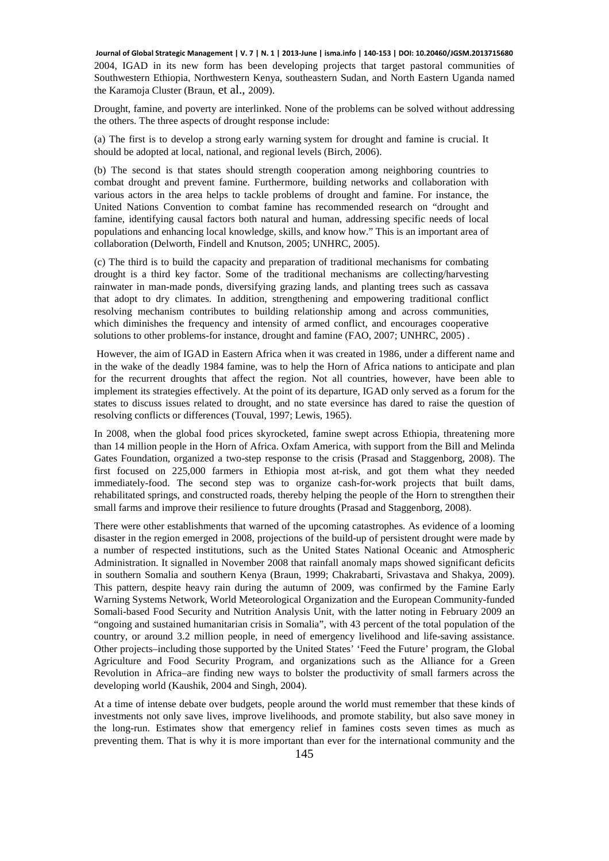2004, IGAD in its new form has been developing projects that target pastoral communities of Southwestern Ethiopia, Northwestern Kenya, southeastern Sudan, and North Eastern Uganda named the Karamoja Cluster (Braun, et al., 2009). **Journal of Global Strategic Management | V. 7 | N. 1 | 2013-June | isma.info | 140-153 | DOI: 10.20460/JGSM.2013715680**

Drought, famine, and poverty are interlinked. None of the problems can be solved without addressing the others. The three aspects of drought response include:

(a) The first is to develop a strong early warning system for drought and famine is crucial. It should be adopted at local, national, and regional levels (Birch, 2006).

(b) The second is that states should strength cooperation among neighboring countries to combat drought and prevent famine. Furthermore, building networks and collaboration with various actors in the area helps to tackle problems of drought and famine. For instance, the United Nations Convention to combat famine has recommended research on "drought and famine, identifying causal factors both natural and human, addressing specific needs of local populations and enhancing local knowledge, skills, and know how." This is an important area of collaboration (Delworth, Findell and Knutson, 2005; UNHRC, 2005).

(c) The third is to build the capacity and preparation of traditional mechanisms for combating drought is a third key factor. Some of the traditional mechanisms are collecting/harvesting rainwater in man-made ponds, diversifying grazing lands, and planting trees such as cassava that adopt to dry climates. In addition, strengthening and empowering traditional conflict resolving mechanism contributes to building relationship among and across communities, which diminishes the frequency and intensity of armed conflict, and encourages cooperative solutions to other problems-for instance, drought and famine (FAO, 2007; UNHRC, 2005) .

 However, the aim of IGAD in Eastern Africa when it was created in 1986, under a different name and in the wake of the deadly 1984 famine, was to help the Horn of Africa nations to anticipate and plan for the recurrent droughts that affect the region. Not all countries, however, have been able to implement its strategies effectively. At the point of its departure, IGAD only served as a forum for the states to discuss issues related to drought, and no state eversince has dared to raise the question of resolving conflicts or differences (Touval, 1997; Lewis, 1965).

In 2008, when the global food prices skyrocketed, famine swept across Ethiopia, threatening more than 14 million people in the Horn of Africa. Oxfam America, with support from the Bill and Melinda Gates Foundation, organized a two-step response to the crisis (Prasad and Staggenborg, 2008). The first focused on 225,000 farmers in Ethiopia most at-risk, and got them what they needed immediately-food. The second step was to organize cash-for-work projects that built dams, rehabilitated springs, and constructed roads, thereby helping the people of the Horn to strengthen their small farms and improve their resilience to future droughts (Prasad and Staggenborg, 2008).

There were other establishments that warned of the upcoming catastrophes. As evidence of a looming disaster in the region emerged in 2008, projections of the build-up of persistent drought were made by a number of respected institutions, such as the United States National Oceanic and Atmospheric Administration. It signalled in November 2008 that rainfall anomaly maps showed significant deficits in southern Somalia and southern Kenya (Braun, 1999; Chakrabarti, Srivastava and Shakya, 2009). This pattern, despite heavy rain during the autumn of 2009, was confirmed by the Famine Early Warning Systems Network, World Meteorological Organization and the European Community-funded Somali-based Food Security and Nutrition Analysis Unit, with the latter noting in February 2009 an "ongoing and sustained humanitarian crisis in Somalia", with 43 percent of the total population of the country, or around 3.2 million people, in need of emergency livelihood and life-saving assistance. Other projects–including those supported by the United States' 'Feed the Future' program, the Global Agriculture and Food Security Program, and organizations such as the Alliance for a Green Revolution in Africa–are finding new ways to bolster the productivity of small farmers across the developing world (Kaushik, 2004 and Singh, 2004).

At a time of intense debate over budgets, people around the world must remember that these kinds of investments not only save lives, improve livelihoods, and promote stability, but also save money in the long-run. Estimates show that emergency relief in famines costs seven times as much as preventing them. That is why it is more important than ever for the international community and the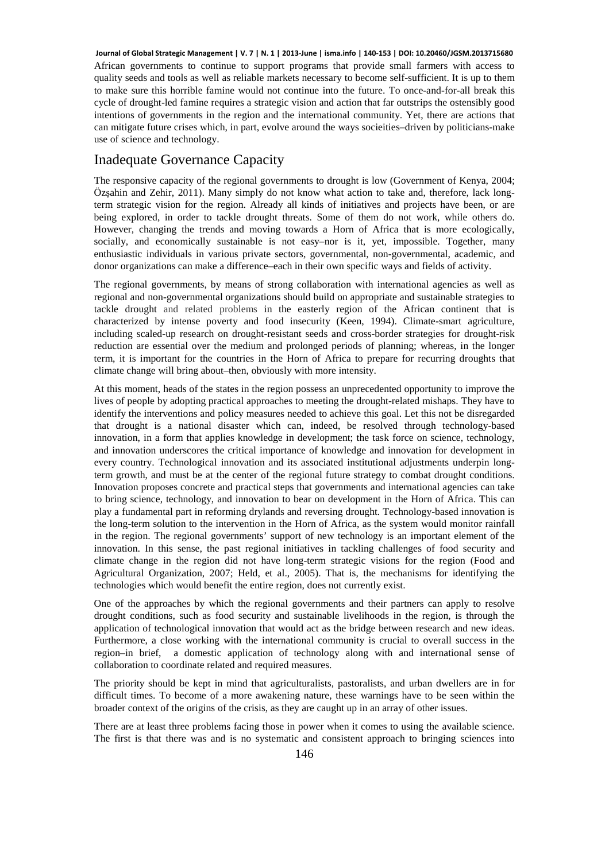African governments to continue to support programs that provide small farmers with access to quality seeds and tools as well as reliable markets necessary to become self-sufficient. It is up to them to make sure this horrible famine would not continue into the future. To once-and-for-all break this cycle of drought-led famine requires a strategic vision and action that far outstrips the ostensibly good intentions of governments in the region and the international community. Yet, there are actions that can mitigate future crises which, in part, evolve around the ways socieities–driven by politicians-make use of science and technology. **Journal of Global Strategic Management | V. 7 | N. 1 | 2013-June | isma.info | 140-153 | DOI: 10.20460/JGSM.2013715680**

#### Inadequate Governance Capacity

The responsive capacity of the regional governments to drought is low (Government of Kenya, 2004; Özşahin and Zehir, 2011). Many simply do not know what action to take and, therefore, lack longterm strategic vision for the region. Already all kinds of initiatives and projects have been, or are being explored, in order to tackle drought threats. Some of them do not work, while others do. However, changing the trends and moving towards a Horn of Africa that is more ecologically, socially, and economically sustainable is not easy–nor is it, yet, impossible. Together, many enthusiastic individuals in various private sectors, governmental, non-governmental, academic, and donor organizations can make a difference–each in their own specific ways and fields of activity.

The regional governments, by means of strong collaboration with international agencies as well as regional and non-governmental organizations should build on appropriate and sustainable strategies to tackle drought and related problems in the easterly region of the African continent that is characterized by intense poverty and food insecurity (Keen, 1994). Climate-smart agriculture, including scaled-up research on drought-resistant seeds and cross-border strategies for drought-risk reduction are essential over the medium and prolonged periods of planning; whereas, in the longer term, it is important for the countries in the Horn of Africa to prepare for recurring droughts that climate change will bring about–then, obviously with more intensity.

At this moment, heads of the states in the region possess an unprecedented opportunity to improve the lives of people by adopting practical approaches to meeting the drought-related mishaps. They have to identify the interventions and policy measures needed to achieve this goal. Let this not be disregarded that drought is a national disaster which can, indeed, be resolved through technology-based innovation, in a form that applies knowledge in development; the task force on science, technology, and innovation underscores the critical importance of knowledge and innovation for development in every country. Technological innovation and its associated institutional adjustments underpin longterm growth, and must be at the center of the regional future strategy to combat drought conditions. Innovation proposes concrete and practical steps that governments and international agencies can take to bring science, technology, and innovation to bear on development in the Horn of Africa. This can play a fundamental part in reforming drylands and reversing drought. Technology-based innovation is the long-term solution to the intervention in the Horn of Africa, as the system would monitor rainfall in the region. The regional governments' support of new technology is an important element of the innovation. In this sense, the past regional initiatives in tackling challenges of food security and climate change in the region did not have long-term strategic visions for the region (Food and Agricultural Organization, 2007; Held, et al., 2005). That is, the mechanisms for identifying the technologies which would benefit the entire region, does not currently exist.

One of the approaches by which the regional governments and their partners can apply to resolve drought conditions, such as food security and sustainable livelihoods in the region, is through the application of technological innovation that would act as the bridge between research and new ideas. Furthermore, a close working with the international community is crucial to overall success in the region–in brief, a domestic application of technology along with and international sense of collaboration to coordinate related and required measures.

The priority should be kept in mind that agriculturalists, pastoralists, and urban dwellers are in for difficult times. To become of a more awakening nature, these warnings have to be seen within the broader context of the origins of the crisis, as they are caught up in an array of other issues.

There are at least three problems facing those in power when it comes to using the available science. The first is that there was and is no systematic and consistent approach to bringing sciences into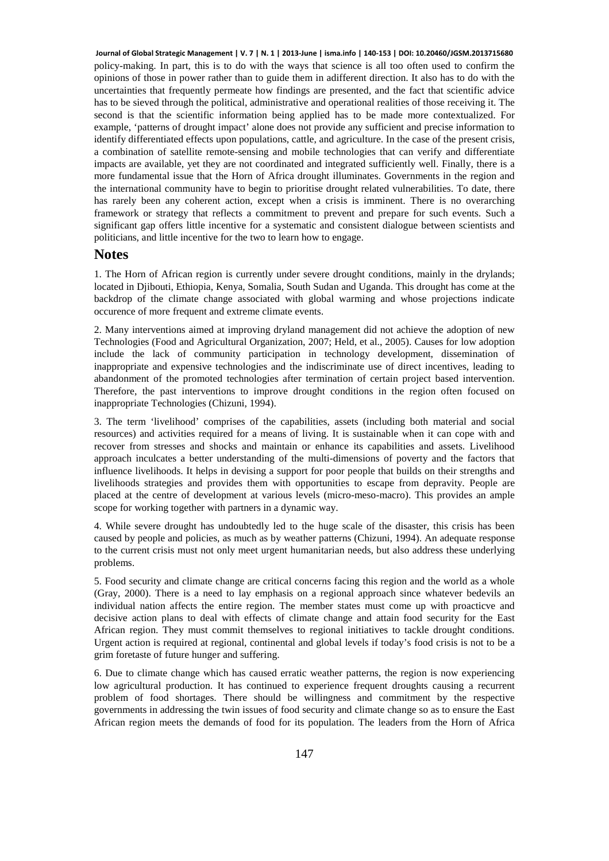policy-making. In part, this is to do with the ways that science is all too often used to confirm the opinions of those in power rather than to guide them in adifferent direction. It also has to do with the uncertainties that frequently permeate how findings are presented, and the fact that scientific advice has to be sieved through the political, administrative and operational realities of those receiving it. The second is that the scientific information being applied has to be made more contextualized. For example, 'patterns of drought impact' alone does not provide any sufficient and precise information to identify differentiated effects upon populations, cattle, and agriculture. In the case of the present crisis, a combination of satellite remote-sensing and mobile technologies that can verify and differentiate impacts are available, yet they are not coordinated and integrated sufficiently well. Finally, there is a more fundamental issue that the Horn of Africa drought illuminates. Governments in the region and the international community have to begin to prioritise drought related vulnerabilities. To date, there has rarely been any coherent action, except when a crisis is imminent. There is no overarching framework or strategy that reflects a commitment to prevent and prepare for such events. Such a significant gap offers little incentive for a systematic and consistent dialogue between scientists and politicians, and little incentive for the two to learn how to engage. **Journal of Global Strategic Management | V. 7 | N. 1 | 2013-June | isma.info | 140-153 | DOI: 10.20460/JGSM.2013715680**

#### **Notes**

1. The Horn of African region is currently under severe drought conditions, mainly in the drylands; located in Djibouti, Ethiopia, Kenya, Somalia, South Sudan and Uganda. This drought has come at the backdrop of the climate change associated with global warming and whose projections indicate occurence of more frequent and extreme climate events.

2. Many interventions aimed at improving dryland management did not achieve the adoption of new Technologies (Food and Agricultural Organization, 2007; Held, et al., 2005). Causes for low adoption include the lack of community participation in technology development, dissemination of inappropriate and expensive technologies and the indiscriminate use of direct incentives, leading to abandonment of the promoted technologies after termination of certain project based intervention. Therefore, the past interventions to improve drought conditions in the region often focused on inappropriate Technologies (Chizuni, 1994).

3. The term 'livelihood' comprises of the capabilities, assets (including both material and social resources) and activities required for a means of living. It is sustainable when it can cope with and recover from stresses and shocks and maintain or enhance its capabilities and assets. Livelihood approach inculcates a better understanding of the multi-dimensions of poverty and the factors that influence livelihoods. It helps in devising a support for poor people that builds on their strengths and livelihoods strategies and provides them with opportunities to escape from depravity. People are placed at the centre of development at various levels (micro-meso-macro). This provides an ample scope for working together with partners in a dynamic way.

4. While severe drought has undoubtedly led to the huge scale of the disaster, this crisis has been caused by people and policies, as much as by weather patterns (Chizuni, 1994). An adequate response to the current crisis must not only meet urgent humanitarian needs, but also address these underlying problems.

5. Food security and climate change are critical concerns facing this region and the world as a whole (Gray, 2000). There is a need to lay emphasis on a regional approach since whatever bedevils an individual nation affects the entire region. The member states must come up with proacticve and decisive action plans to deal with effects of climate change and attain food security for the East African region. They must commit themselves to regional initiatives to tackle drought conditions. Urgent action is required at regional, continental and global levels if today's food crisis is not to be a grim foretaste of future hunger and suffering.

6. Due to climate change which has caused erratic weather patterns, the region is now experiencing low agricultural production. It has continued to experience frequent droughts causing a recurrent problem of food shortages. There should be willingness and commitment by the respective governments in addressing the twin issues of food security and climate change so as to ensure the East African region meets the demands of food for its population. The leaders from the Horn of Africa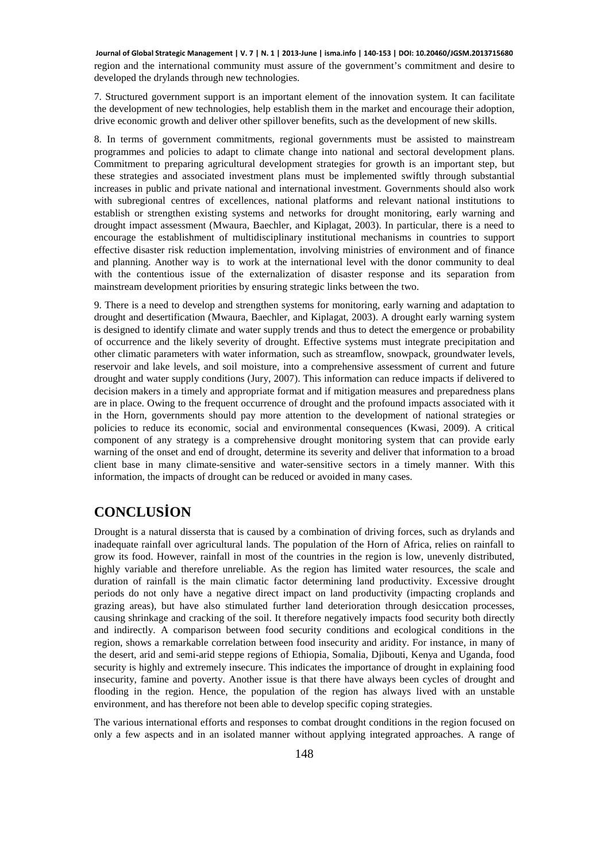region and the international community must assure of the government's commitment and desire to developed the drylands through new technologies. **Journal of Global Strategic Management | V. 7 | N. 1 | 2013-June | isma.info | 140-153 | DOI: 10.20460/JGSM.2013715680**

7. Structured government support is an important element of the innovation system. It can facilitate the development of new technologies, help establish them in the market and encourage their adoption, drive economic growth and deliver other spillover benefits, such as the development of new skills.

8. In terms of government commitments, regional governments must be assisted to mainstream programmes and policies to adapt to climate change into national and sectoral development plans. Commitment to preparing agricultural development strategies for growth is an important step, but these strategies and associated investment plans must be implemented swiftly through substantial increases in public and private national and international investment. Governments should also work with subregional centres of excellences, national platforms and relevant national institutions to establish or strengthen existing systems and networks for drought monitoring, early warning and drought impact assessment (Mwaura, Baechler, and Kiplagat, 2003). In particular, there is a need to encourage the establishment of multidisciplinary institutional mechanisms in countries to support effective disaster risk reduction implementation, involving ministries of environment and of finance and planning. Another way is to work at the international level with the donor community to deal with the contentious issue of the externalization of disaster response and its separation from mainstream development priorities by ensuring strategic links between the two.

9. There is a need to develop and strengthen systems for monitoring, early warning and adaptation to drought and desertification (Mwaura, Baechler, and Kiplagat, 2003). A drought early warning system is designed to identify climate and water supply trends and thus to detect the emergence or probability of occurrence and the likely severity of drought. Effective systems must integrate precipitation and other climatic parameters with water information, such as streamflow, snowpack, groundwater levels, reservoir and lake levels, and soil moisture, into a comprehensive assessment of current and future drought and water supply conditions (Jury, 2007). This information can reduce impacts if delivered to decision makers in a timely and appropriate format and if mitigation measures and preparedness plans are in place. Owing to the frequent occurrence of drought and the profound impacts associated with it in the Horn, governments should pay more attention to the development of national strategies or policies to reduce its economic, social and environmental consequences (Kwasi, 2009). A critical component of any strategy is a comprehensive drought monitoring system that can provide early warning of the onset and end of drought, determine its severity and deliver that information to a broad client base in many climate-sensitive and water-sensitive sectors in a timely manner. With this information, the impacts of drought can be reduced or avoided in many cases.

# **CONCLUSİON**

Drought is a natural dissersta that is caused by a combination of driving forces, such as drylands and inadequate rainfall over agricultural lands. The population of the Horn of Africa, relies on rainfall to grow its food. However, rainfall in most of the countries in the region is low, unevenly distributed, highly variable and therefore unreliable. As the region has limited water resources, the scale and duration of rainfall is the main climatic factor determining land productivity. Excessive drought periods do not only have a negative direct impact on land productivity (impacting croplands and grazing areas), but have also stimulated further land deterioration through desiccation processes, causing shrinkage and cracking of the soil. It therefore negatively impacts food security both directly and indirectly. A comparison between food security conditions and ecological conditions in the region, shows a remarkable correlation between food insecurity and aridity. For instance, in many of the desert, arid and semi-arid steppe regions of Ethiopia, Somalia, Djibouti, Kenya and Uganda, food security is highly and extremely insecure. This indicates the importance of drought in explaining food insecurity, famine and poverty. Another issue is that there have always been cycles of drought and flooding in the region. Hence, the population of the region has always lived with an unstable environment, and has therefore not been able to develop specific coping strategies.

The various international efforts and responses to combat drought conditions in the region focused on only a few aspects and in an isolated manner without applying integrated approaches. A range of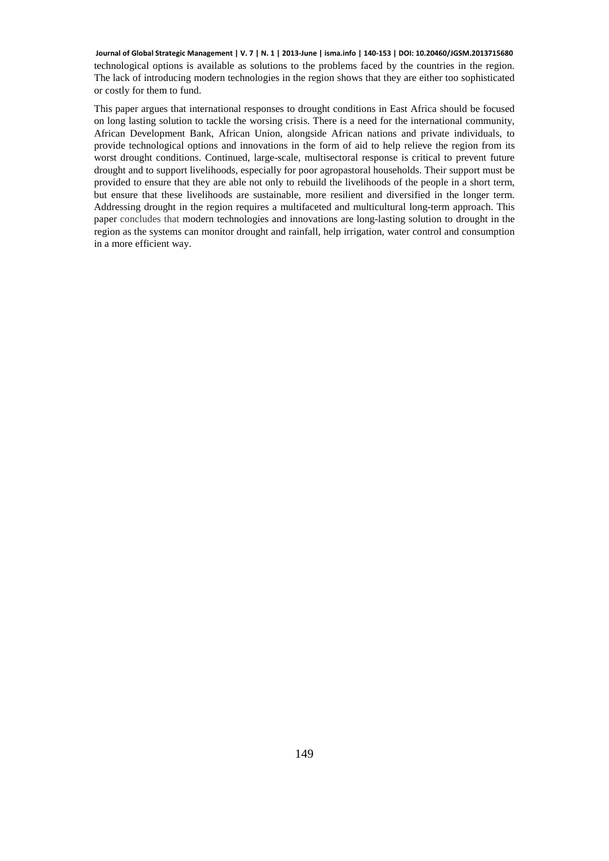technological options is available as solutions to the problems faced by the countries in the region. The lack of introducing modern technologies in the region shows that they are either too sophisticated or costly for them to fund. **Journal of Global Strategic Management | V. 7 | N. 1 | 2013-June | isma.info | 140-153 | DOI: 10.20460/JGSM.2013715680**

This paper argues that international responses to drought conditions in East Africa should be focused on long lasting solution to tackle the worsing crisis. There is a need for the international community, African Development Bank, African Union, alongside African nations and private individuals, to provide technological options and innovations in the form of aid to help relieve the region from its worst drought conditions. Continued, large-scale, multisectoral response is critical to prevent future drought and to support livelihoods, especially for poor agropastoral households. Their support must be provided to ensure that they are able not only to rebuild the livelihoods of the people in a short term, but ensure that these livelihoods are sustainable, more resilient and diversified in the longer term. Addressing drought in the region requires a multifaceted and multicultural long-term approach. This paper concludes that modern technologies and innovations are long-lasting solution to drought in the region as the systems can monitor drought and rainfall, help irrigation, water control and consumption in a more efficient way.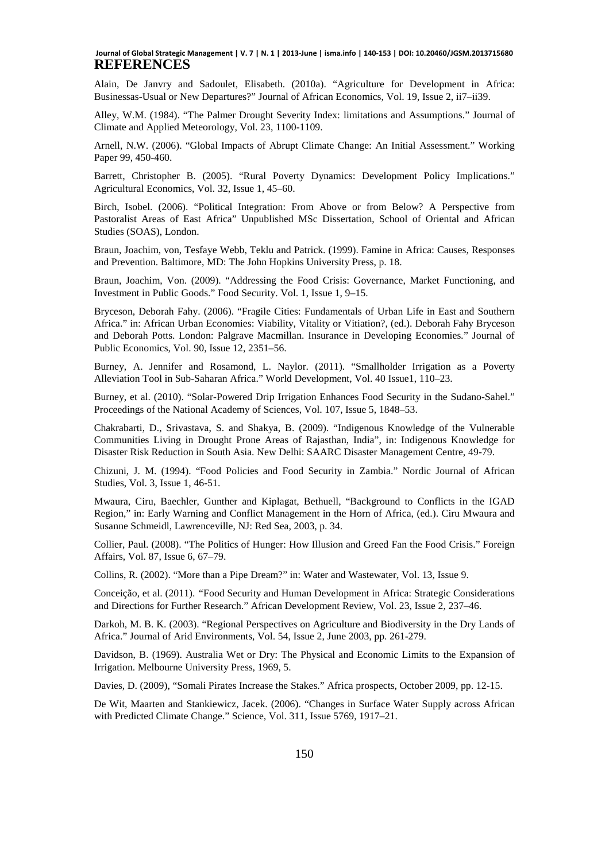#### **REFERENCES Journal of Global Strategic Management | V. 7 | N. 1 | 2013-June | isma.info | 140-153 | DOI: 10.20460/JGSM.2013715680**

Alain, De Janvry and Sadoulet, Elisabeth. (2010a). "Agriculture for Development in Africa: Businessas-Usual or New Departures?" Journal of African Economics, Vol. 19, Issue 2, ii7–ii39.

Alley, W.M. (1984). "The Palmer Drought Severity Index: limitations and Assumptions." Journal of Climate and Applied Meteorology, Vol. 23, 1100-1109.

Arnell, N.W. (2006). "Global Impacts of Abrupt Climate Change: An Initial Assessment." Working Paper 99, 450-460.

Barrett, Christopher B. (2005). "Rural Poverty Dynamics: Development Policy Implications." Agricultural Economics, Vol. 32, Issue 1, 45–60.

Birch, Isobel. (2006). "Political Integration: From Above or from Below? A Perspective from Pastoralist Areas of East Africa" Unpublished MSc Dissertation, School of Oriental and African Studies (SOAS), London.

Braun, Joachim, von, Tesfaye Webb, Teklu and Patrick. (1999). Famine in Africa: Causes, Responses and Prevention. Baltimore, MD: The John Hopkins University Press, p. 18.

Braun, Joachim, Von. (2009). "Addressing the Food Crisis: Governance, Market Functioning, and Investment in Public Goods." Food Security. Vol. 1, Issue 1, 9–15.

Bryceson, Deborah Fahy. (2006). "Fragile Cities: Fundamentals of Urban Life in East and Southern Africa." in: African Urban Economies: Viability, Vitality or Vitiation?, (ed.). Deborah Fahy Bryceson and Deborah Potts. London: Palgrave Macmillan. Insurance in Developing Economies*.*" Journal of Public Economics, Vol. 90, Issue 12, 2351–56.

Burney, A. Jennifer and Rosamond, L. Naylor. (2011). "Smallholder Irrigation as a Poverty Alleviation Tool in Sub-Saharan Africa." World Development, Vol. 40 Issue1, 110–23.

Burney, et al. (2010). "Solar-Powered Drip Irrigation Enhances Food Security in the Sudano-Sahel." Proceedings of the National Academy of Sciences, Vol. 107, Issue 5, 1848–53.

Chakrabarti, D., Srivastava, S. and Shakya, B. (2009). "Indigenous Knowledge of the Vulnerable Communities Living in Drought Prone Areas of Rajasthan, India", in: Indigenous Knowledge for Disaster Risk Reduction in South Asia. New Delhi: SAARC Disaster Management Centre, 49-79.

Chizuni, J. M. (1994). "Food Policies and Food Security in Zambia." Nordic Journal of African Studies, Vol. 3, Issue 1, 46-51.

Mwaura, Ciru, Baechler, Gunther and Kiplagat, Bethuell, "Background to Conflicts in the IGAD Region," in: Early Warning and Conflict Management in the Horn of Africa, (ed.). Ciru Mwaura and Susanne Schmeidl, Lawrenceville, NJ: Red Sea, 2003, p. 34.

Collier, Paul. (2008). "The Politics of Hunger: How Illusion and Greed Fan the Food Crisis." Foreign Affairs, Vol. 87, Issue 6, 67–79.

Collins, R. (2002). "More than a Pipe Dream?" in: Water and Wastewater, Vol. 13, Issue 9.

Conceição, et al. (2011). *"*Food Security and Human Development in Africa: Strategic Considerations and Directions for Further Research." African Development Review, Vol. 23, Issue 2, 237–46.

Darkoh, M. B. K. (2003). "Regional Perspectives on Agriculture and Biodiversity in the Dry Lands of Africa." Journal of Arid Environments, Vol. 54, Issue 2, June 2003, pp. 261-279.

Davidson, B. (1969). Australia Wet or Dry: The Physical and Economic Limits to the Expansion of Irrigation. Melbourne University Press, 1969, 5.

Davies, D. (2009), "Somali Pirates Increase the Stakes." Africa prospects, October 2009, pp. 12-15.

De Wit, Maarten and Stankiewicz, Jacek. (2006). "Changes in Surface Water Supply across African with Predicted Climate Change." Science, Vol. 311, Issue 5769, 1917–21.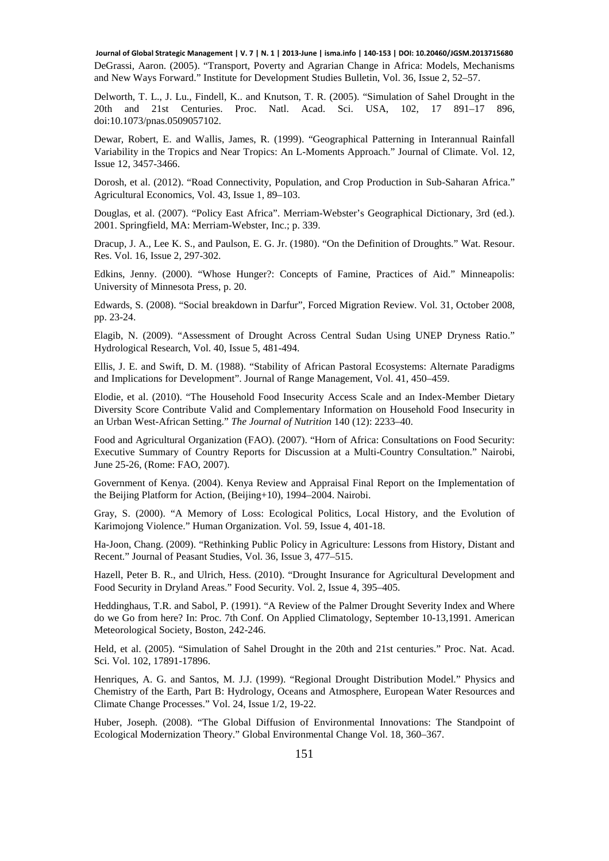DeGrassi, Aaron. (2005). "Transport, Poverty and Agrarian Change in Africa: Models, Mechanisms and New Ways Forward." Institute for Development Studies Bulletin, Vol. 36, Issue 2, 52–57. **Journal of Global Strategic Management | V. 7 | N. 1 | 2013-June | isma.info | 140-153 | DOI: 10.20460/JGSM.2013715680**

Delworth, T. L., J. Lu., Findell, K.. and Knutson, T. R. (2005). "Simulation of Sahel Drought in the 20th and 21st Centuries. Proc. Natl. Acad. Sci. USA, 102, 17 891–17 896, doi:10.1073/pnas.0509057102.

Dewar, Robert, E. and Wallis, James, R. (1999). "Geographical Patterning in Interannual Rainfall Variability in the Tropics and Near Tropics: An L-Moments Approach." Journal of Climate. Vol. 12, Issue 12, 3457-3466.

Dorosh, et al. (2012). "Road Connectivity, Population, and Crop Production in Sub-Saharan Africa." Agricultural Economics, Vol. 43, Issue 1, 89–103.

Douglas, et al. (2007). "Policy East Africa". Merriam-Webster's Geographical Dictionary, 3rd (ed.). 2001. Springfield, MA: Merriam-Webster, Inc.; p. 339.

Dracup, J. A., Lee K. S., and Paulson, E. G. Jr. (1980). "On the Definition of Droughts." Wat. Resour. Res. Vol. 16, Issue 2, 297-302.

Edkins, Jenny. (2000). "Whose Hunger?: Concepts of Famine, Practices of Aid." Minneapolis: University of Minnesota Press, p. 20.

Edwards, S. (2008). "Social breakdown in Darfur", Forced Migration Review. Vol. 31, October 2008, pp. 23-24.

Elagib, N. (2009). "Assessment of Drought Across Central Sudan Using UNEP Dryness Ratio." Hydrological Research, Vol. 40, Issue 5, 481-494.

Ellis, J. E. and Swift, D. M. (1988). "Stability of African Pastoral Ecosystems: Alternate Paradigms and Implications for Development". Journal of Range Management, Vol. 41, 450–459.

Elodie, et al. (2010). "The Household Food Insecurity Access Scale and an Index-Member Dietary Diversity Score Contribute Valid and Complementary Information on Household Food Insecurity in an Urban West-African Setting." *The Journal of Nutrition* 140 (12): 2233–40.

Food and Agricultural Organization (FAO). (2007). "Horn of Africa: Consultations on Food Security: Executive Summary of Country Reports for Discussion at a Multi-Country Consultation." Nairobi, June 25-26, (Rome: FAO, 2007).

Government of Kenya. (2004). Kenya Review and Appraisal Final Report on the Implementation of the Beijing Platform for Action, (Beijing+10), 1994–2004. Nairobi.

Gray, S. (2000). "A Memory of Loss: Ecological Politics, Local History, and the Evolution of Karimojong Violence." Human Organization. Vol. 59, Issue 4, 401-18.

Ha-Joon, Chang. (2009). "Rethinking Public Policy in Agriculture: Lessons from History, Distant and Recent." Journal of Peasant Studies, Vol. 36, Issue 3, 477–515.

Hazell, Peter B. R., and Ulrich, Hess. (2010). "Drought Insurance for Agricultural Development and Food Security in Dryland Areas." Food Security. Vol. 2, Issue 4, 395–405.

Heddinghaus, T.R. and Sabol, P. (1991). "A Review of the Palmer Drought Severity Index and Where do we Go from here? In: Proc. 7th Conf. On Applied Climatology, September 10-13,1991. American Meteorological Society, Boston, 242-246.

Held, et al. (2005). "Simulation of Sahel Drought in the 20th and 21st centuries." Proc. Nat. Acad. Sci. Vol. 102, 17891-17896.

Henriques, A. G. and Santos, M. J.J. (1999). "Regional Drought Distribution Model." Physics and Chemistry of the Earth, Part B: Hydrology, Oceans and Atmosphere, European Water Resources and Climate Change Processes." Vol. 24, Issue 1/2, 19-22.

Huber, Joseph. (2008). "The Global Diffusion of Environmental Innovations: The Standpoint of Ecological Modernization Theory." Global Environmental Change Vol. 18, 360–367.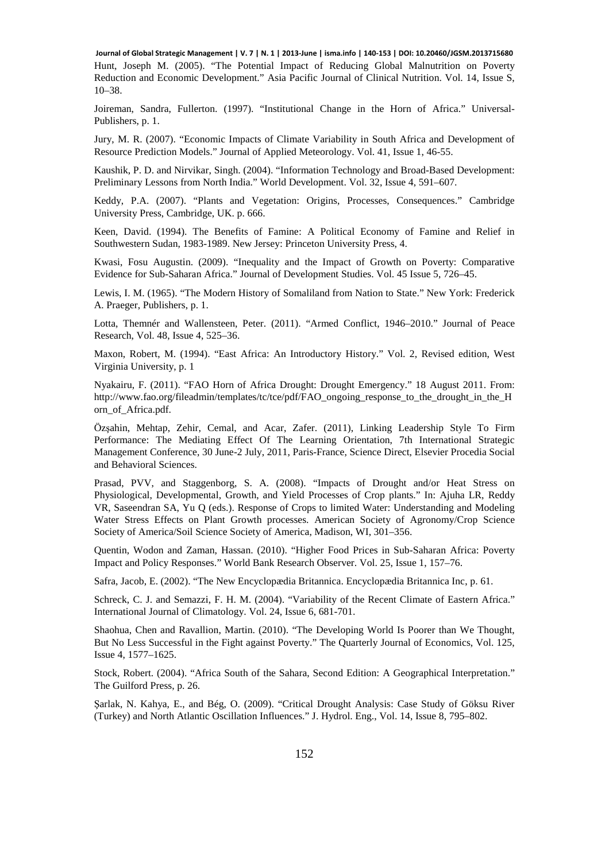Hunt, Joseph M. (2005). "The Potential Impact of Reducing Global Malnutrition on Poverty Reduction and Economic Development." Asia Pacific Journal of Clinical Nutrition. Vol. 14, Issue S, 10–38. **Journal of Global Strategic Management | V. 7 | N. 1 | 2013-June | isma.info | 140-153 | DOI: 10.20460/JGSM.2013715680**

Joireman, Sandra, Fullerton. (1997). "Institutional Change in the Horn of Africa." Universal-Publishers, p. 1.

Jury, M. R. (2007). "Economic Impacts of Climate Variability in South Africa and Development of Resource Prediction Models." Journal of Applied Meteorology. Vol. 41, Issue 1, 46-55.

Kaushik, P. D. and Nirvikar, Singh. (2004). "Information Technology and Broad-Based Development: Preliminary Lessons from North India." World Development. Vol. 32, Issue 4, 591–607.

Keddy, P.A. (2007). "Plants and Vegetation: Origins, Processes, Consequences." Cambridge University Press, Cambridge, UK. p. 666.

Keen, David. (1994). The Benefits of Famine: A Political Economy of Famine and Relief in Southwestern Sudan, 1983-1989. New Jersey: Princeton University Press, 4.

Kwasi, Fosu Augustin. (2009). "Inequality and the Impact of Growth on Poverty: Comparative Evidence for Sub-Saharan Africa." Journal of Development Studies. Vol. 45 Issue 5, 726–45.

Lewis, I. M. (1965). "The Modern History of Somaliland from Nation to State." New York: Frederick A. Praeger, Publishers, p. 1.

Lotta, Themnér and Wallensteen, Peter. (2011). "Armed Conflict, 1946–2010." Journal of Peace Research, Vol. 48, Issue 4, 525–36.

Maxon, Robert, M. (1994). "East Africa: An Introductory History." Vol. 2, Revised edition, West Virginia University, p. 1

Nyakairu, F. (2011). "FAO Horn of Africa Drought: Drought Emergency." 18 August 2011. From: http://www.fao.org/fileadmin/templates/tc/tce/pdf/FAO\_ongoing\_response\_to\_the\_drought\_in\_the\_H orn\_of\_Africa.pdf.

Özşahin, Mehtap, Zehir, Cemal, and Acar, Zafer. (2011), Linking Leadership Style To Firm Performance: The Mediating Effect Of The Learning Orientation, 7th International Strategic Management Conference, 30 June-2 July, 2011, Paris-France, Science Direct, Elsevier Procedia Social and Behavioral Sciences.

Prasad, PVV, and Staggenborg, S. A. (2008). "Impacts of Drought and/or Heat Stress on Physiological, Developmental, Growth, and Yield Processes of Crop plants." In: Ajuha LR, Reddy VR, Saseendran SA, Yu Q (eds.). Response of Crops to limited Water: Understanding and Modeling Water Stress Effects on Plant Growth processes. American Society of Agronomy/Crop Science Society of America/Soil Science Society of America, Madison, WI, 301–356.

Quentin, Wodon and Zaman, Hassan. (2010). "Higher Food Prices in Sub-Saharan Africa: Poverty Impact and Policy Responses." World Bank Research Observer. Vol. 25, Issue 1, 157–76.

Safra, Jacob, E. (2002). "The New Encyclopædia Britannica. Encyclopædia Britannica Inc, p. 61.

Schreck, C. J. and Semazzi, F. H. M. (2004). "Variability of the Recent Climate of Eastern Africa." International Journal of Climatology. Vol. 24, Issue 6, 681-701.

Shaohua, Chen and Ravallion, Martin. (2010). "The Developing World Is Poorer than We Thought, But No Less Successful in the Fight against Poverty." The Quarterly Journal of Economics, Vol. 125, Issue 4, 1577–1625.

Stock, Robert. (2004). "Africa South of the Sahara, Second Edition: A Geographical Interpretation." The Guilford Press, p. 26.

Şarlak, N. Kahya, E., and Bég, O. (2009). "Critical Drought Analysis: Case Study of Göksu River (Turkey) and North Atlantic Oscillation Influences." J. Hydrol. Eng., Vol. 14, Issue 8, 795–802.